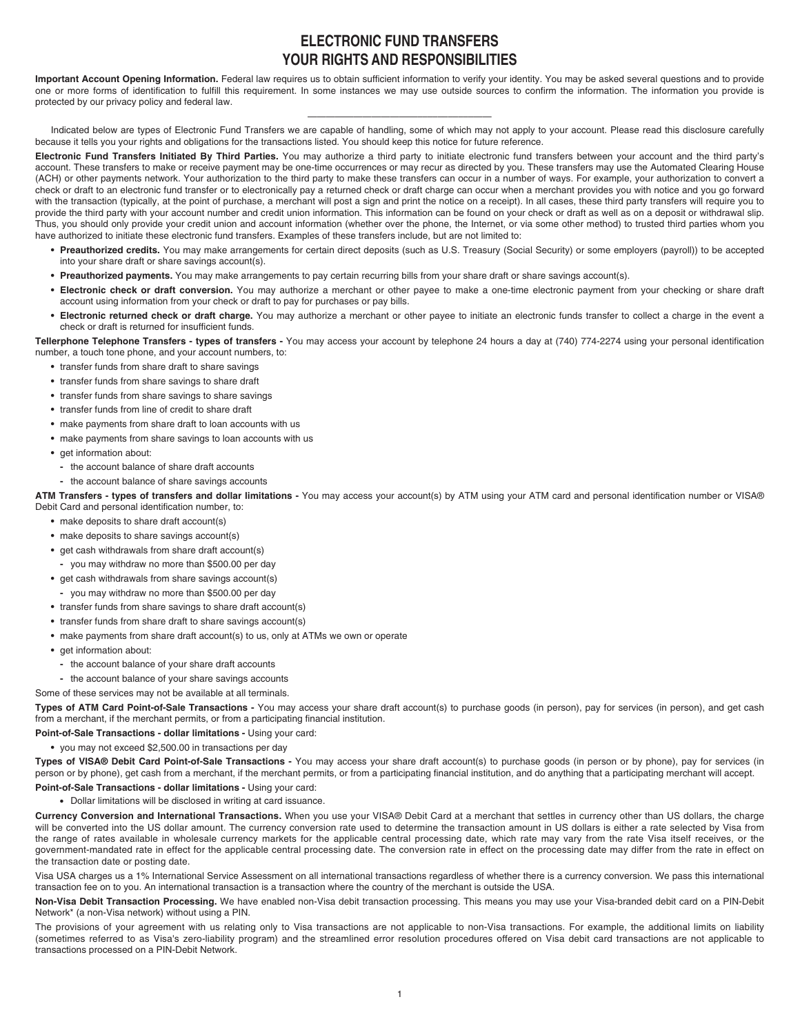# **ELECTRONIC FUND TRANSFERS YOUR RIGHTS AND RESPONSIBILITIES**

**Important Account Opening Information.** Federal law requires us to obtain sufficient information to verify your identity. You may be asked several questions and to provide one or more forms of identification to fulfill this requirement. In some instances we may use outside sources to confirm the information. The information you provide is protected by our privacy policy and federal law.

————————————–––––––––––—— Indicated below are types of Electronic Fund Transfers we are capable of handling, some of which may not apply to your account. Please read this disclosure carefully because it tells you your rights and obligations for the transactions listed. You should keep this notice for future reference.

**Electronic Fund Transfers Initiated By Third Parties.** You may authorize a third party to initiate electronic fund transfers between your account and the third party's account. These transfers to make or receive payment may be one-time occurrences or may recur as directed by you. These transfers may use the Automated Clearing House (ACH) or other payments network. Your authorization to the third party to make these transfers can occur in a number of ways. For example, your authorization to convert a check or draft to an electronic fund transfer or to electronically pay a returned check or draft charge can occur when a merchant provides you with notice and you go forward with the transaction (typically, at the point of purchase, a merchant will post a sign and print the notice on a receipt). In all cases, these third party transfers will require you to provide the third party with your account number and credit union information. This information can be found on your check or draft as well as on a deposit or withdrawal slip. Thus, you should only provide your credit union and account information (whether over the phone, the Internet, or via some other method) to trusted third parties whom you have authorized to initiate these electronic fund transfers. Examples of these transfers include, but are not limited to:

- **Preauthorized credits.** You may make arrangements for certain direct deposits (such as U.S. Treasury (Social Security) or some employers (payroll)) to be accepted into your share draft or share savings account(s).
- **Preauthorized payments.** You may make arrangements to pay certain recurring bills from your share draft or share savings account(s).
- **Electronic check or draft conversion.** You may authorize a merchant or other payee to make a one-time electronic payment from your checking or share draft account using information from your check or draft to pay for purchases or pay bills.
- **Electronic returned check or draft charge.** You may authorize a merchant or other payee to initiate an electronic funds transfer to collect a charge in the event a check or draft is returned for insufficient funds.

**Tellerphone Telephone Transfers - types of transfers -** You may access your account by telephone 24 hours a day at (740) 774-2274 using your personal identification number, a touch tone phone, and your account numbers, to:

- **•** transfer funds from share draft to share savings
- **•** transfer funds from share savings to share draft
- **•** transfer funds from share savings to share savings
- **•** transfer funds from line of credit to share draft
- **•** make payments from share draft to loan accounts with us
- **•** make payments from share savings to loan accounts with us
- **•** get information about:
- **-** the account balance of share draft accounts
- **-** the account balance of share savings accounts

**ATM Transfers - types of transfers and dollar limitations -** You may access your account(s) by ATM using your ATM card and personal identification number or VISA® Debit Card and personal identification number, to:

- **•** make deposits to share draft account(s)
- **•** make deposits to share savings account(s)
- **•** get cash withdrawals from share draft account(s)
- **-** you may withdraw no more than \$500.00 per day
- **•** get cash withdrawals from share savings account(s)
	- **-** you may withdraw no more than \$500.00 per day
- **•** transfer funds from share savings to share draft account(s)
- **•** transfer funds from share draft to share savings account(s)
- **•** make payments from share draft account(s) to us, only at ATMs we own or operate
- get information about:
- **-** the account balance of your share draft accounts
- **-** the account balance of your share savings accounts

Some of these services may not be available at all terminals.

**Types of ATM Card Point-of-Sale Transactions -** You may access your share draft account(s) to purchase goods (in person), pay for services (in person), and get cash from a merchant, if the merchant permits, or from a participating financial institution.

**Point-of-Sale Transactions - dollar limitations -** Using your card:

**•** you may not exceed \$2,500.00 in transactions per day

**Types of VISA® Debit Card Point-of-Sale Transactions -** You may access your share draft account(s) to purchase goods (in person or by phone), pay for services (in person or by phone), get cash from a merchant, if the merchant permits, or from a participating financial institution, and do anything that a participating merchant will accept.

## **Point-of-Sale Transactions - dollar limitations -** Using your card:

**•** Dollar limitations will be disclosed in writing at card issuance.

**Currency Conversion and International Transactions.** When you use your VISA® Debit Card at a merchant that settles in currency other than US dollars, the charge will be converted into the US dollar amount. The currency conversion rate used to determine the transaction amount in US dollars is either a rate selected by Visa from the range of rates available in wholesale currency markets for the applicable central processing date, which rate may vary from the rate Visa itself receives, or the government-mandated rate in effect for the applicable central processing date. The conversion rate in effect on the processing date may differ from the rate in effect on the transaction date or posting date.

Visa USA charges us a 1% International Service Assessment on all international transactions regardless of whether there is a currency conversion. We pass this international transaction fee on to you. An international transaction is a transaction where the country of the merchant is outside the USA.

**Non-Visa Debit Transaction Processing.** We have enabled non-Visa debit transaction processing. This means you may use your Visa-branded debit card on a PIN-Debit Network\* (a non-Visa network) without using a PIN.

The provisions of your agreement with us relating only to Visa transactions are not applicable to non-Visa transactions. For example, the additional limits on liability (sometimes referred to as Visa's zero-liability program) and the streamlined error resolution procedures offered on Visa debit card transactions are not applicable to transactions processed on a PIN-Debit Network.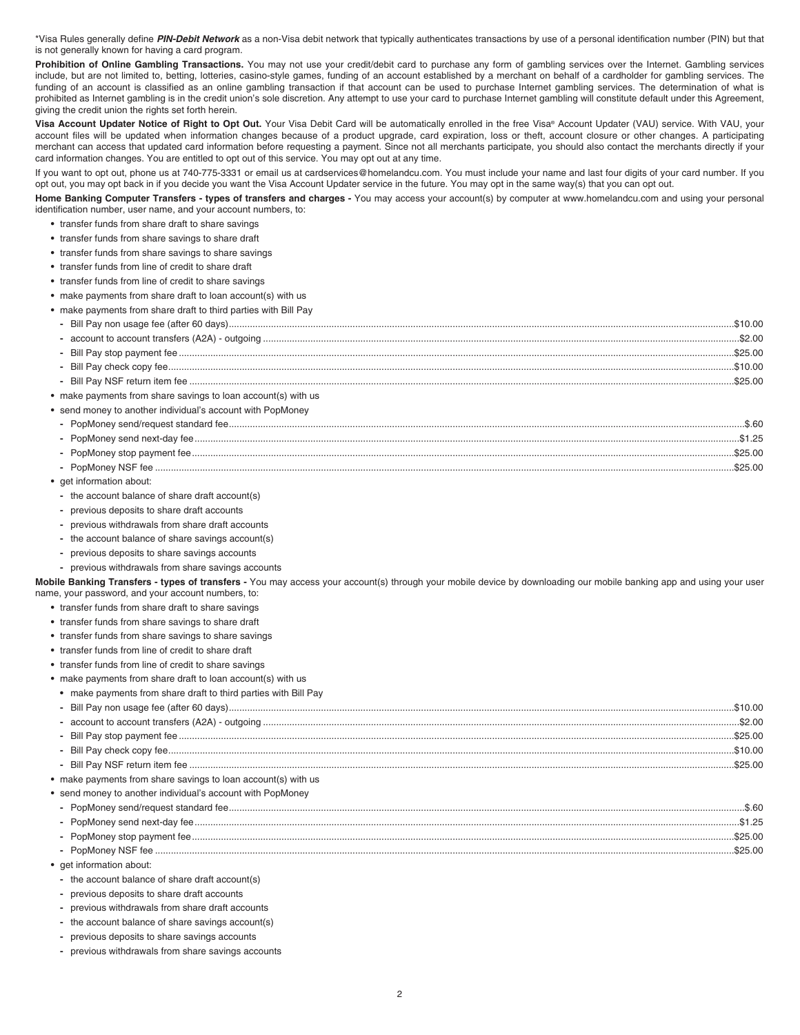\*Visa Rules generally define **PIN-Debit Network** as a non-Visa debit network that typically authenticates transactions by use of a personal identification number (PIN) but that is not generally known for having a card program.

Prohibition of Online Gambling Transactions. You may not use your credit/debit card to purchase any form of gambling services over the Internet. Gambling services include, but are not limited to, betting, lotteries, casino-style games, funding of an account established by a merchant on behalf of a cardholder for gambling services. The funding of an account is classified as an online gambling transaction if that account can be used to purchase Internet gambling services. The determination of what is prohibited as Internet gambling is in the credit union's sole discretion. Any attempt to use your card to purchase Internet gambling will constitute default under this Agreement, giving the credit union the rights set forth herein.

Visa Account Updater Notice of Right to Opt Out. Your Visa Debit Card will be automatically enrolled in the free Visa® Account Updater (VAU) service. With VAU, your account files will be updated when information changes because of a product upgrade, card expiration, loss or theft, account closure or other changes. A participating merchant can access that updated card information before requesting a payment. Since not all merchants participate, you should also contact the merchants directly if your card information changes. You are entitled to opt out of this service. You may opt out at any time.

If you want to opt out, phone us at 740-775-3331 or email us at cardservices@homelandcu.com. You must include your name and last four digits of your card number. If you opt out, you may opt back in if you decide you want the Visa Account Updater service in the future. You may opt in the same way(s) that you can opt out.

**Home Banking Computer Transfers - types of transfers and charges -** You may access your account(s) by computer at www.homelandcu.com and using your personal identification number, user name, and your account numbers, to:

- **•** transfer funds from share draft to share savings
- **•** transfer funds from share savings to share draft
- **•** transfer funds from share savings to share savings
- **•** transfer funds from line of credit to share draft
- **•** transfer funds from line of credit to share savings
- **•** make payments from share draft to loan account(s) with us
- **•** make payments from share draft to third parties with Bill Pay

| make payments from share savings to loan account(s) with us |  |
|-------------------------------------------------------------|--|

- **•** send money to another individual's account with PopMoney
- **-** PopMoney send/request standard fee....................................................................................................................................................................................................\$.60 **-** PopMoney send next-day fee...............................................................................................................................................................................................................\$1.25 **-** PopMoney stop payment fee..............................................................................................................................................................................................................\$25.00 **-** PopMoney NSF fee ............................................................................................................................................................................................................................\$25.00
- **•** get information about:
- **-** the account balance of share draft account(s)
- **-** previous deposits to share draft accounts
- **-** previous withdrawals from share draft accounts
- **-** the account balance of share savings account(s)
- **-** previous deposits to share savings accounts
- **-** previous withdrawals from share savings accounts

**Mobile Banking Transfers - types of transfers -** You may access your account(s) through your mobile device by downloading our mobile banking app and using your user name, your password, and your account numbers, to:

- **•** transfer funds from share draft to share savings
- **•** transfer funds from share savings to share draft
- **•** transfer funds from share savings to share savings
- **•** transfer funds from line of credit to share draft
- **•** transfer funds from line of credit to share savings
- **•** make payments from share draft to loan account(s) with us
- **•** make payments from share draft to third parties with Bill Pay

|                                                               | \$10.00 |
|---------------------------------------------------------------|---------|
|                                                               |         |
| • make payments from share savings to loan account(s) with us |         |

- 
- **•** send money to another individual's account with PopMoney

|  | \$1,25  |
|--|---------|
|  | \$25.00 |
|  |         |
|  |         |

- **•** get information about:
- **-** the account balance of share draft account(s)
- **-** previous deposits to share draft accounts
- **-** previous withdrawals from share draft accounts
- **-** the account balance of share savings account(s)
- **-** previous deposits to share savings accounts
- **-** previous withdrawals from share savings accounts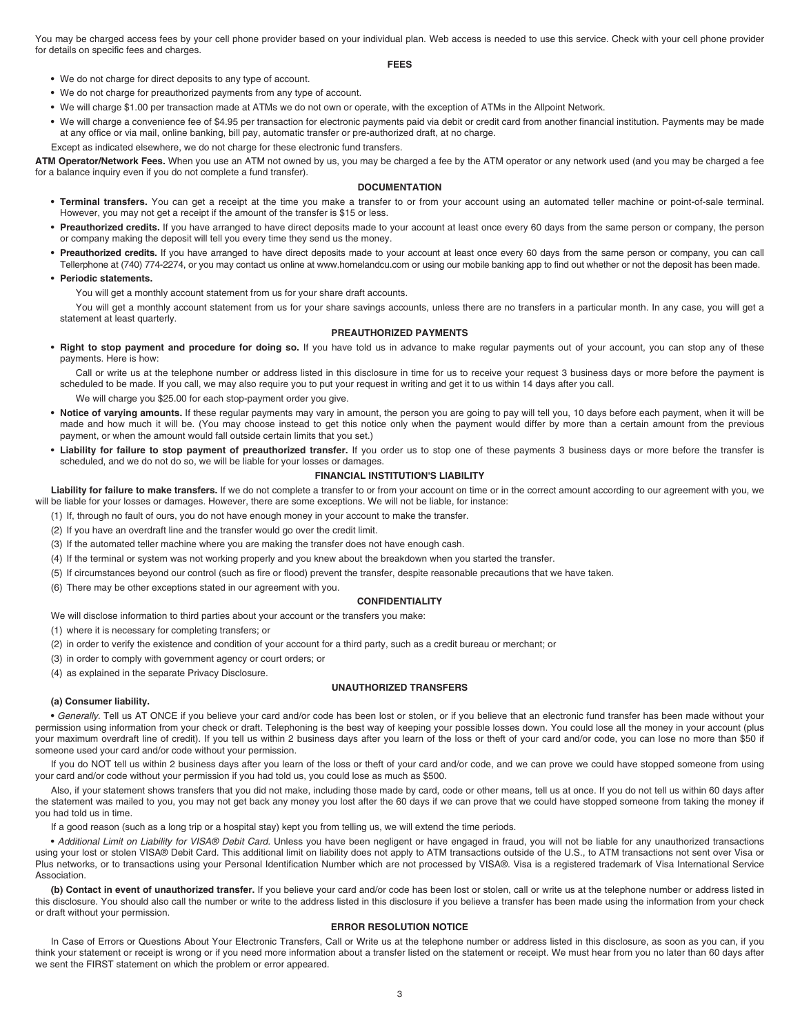You may be charged access fees by your cell phone provider based on your individual plan. Web access is needed to use this service. Check with your cell phone provider for details on specific fees and charges.

**FEES**

- **•** We do not charge for direct deposits to any type of account.
- **•** We do not charge for preauthorized payments from any type of account.
- **•** We will charge \$1.00 per transaction made at ATMs we do not own or operate, with the exception of ATMs in the Allpoint Network.
- **•** We will charge a convenience fee of \$4.95 per transaction for electronic payments paid via debit or credit card from another financial institution. Payments may be made at any office or via mail, online banking, bill pay, automatic transfer or pre-authorized draft, at no charge.

Except as indicated elsewhere, we do not charge for these electronic fund transfers.

**ATM Operator/Network Fees.** When you use an ATM not owned by us, you may be charged a fee by the ATM operator or any network used (and you may be charged a fee for a balance inquiry even if you do not complete a fund transfer).

#### **DOCUMENTATION**

- **Terminal transfers.** You can get a receipt at the time you make a transfer to or from your account using an automated teller machine or point-of-sale terminal. However, you may not get a receipt if the amount of the transfer is \$15 or less.
- **Preauthorized credits.** If you have arranged to have direct deposits made to your account at least once every 60 days from the same person or company, the person or company making the deposit will tell you every time they send us the money.
- **Preauthorized credits.** If you have arranged to have direct deposits made to your account at least once every 60 days from the same person or company, you can call Tellerphone at (740) 774-2274, or you may contact us online at www.homelandcu.com or using our mobile banking app to find out whether or not the deposit has been made.

## **• Periodic statements.**

You will get a monthly account statement from us for your share draft accounts.

You will get a monthly account statement from us for your share savings accounts, unless there are no transfers in a particular month. In any case, you will get a statement at least quarterly.

## **PREAUTHORIZED PAYMENTS**

**• Right to stop payment and procedure for doing so.** If you have told us in advance to make regular payments out of your account, you can stop any of these payments. Here is how:

Call or write us at the telephone number or address listed in this disclosure in time for us to receive your request 3 business days or more before the payment is scheduled to be made. If you call, we may also require you to put your request in writing and get it to us within 14 days after you call.

- We will charge you \$25.00 for each stop-payment order you give.
- **Notice of varying amounts.** If these regular payments may vary in amount, the person you are going to pay will tell you, 10 days before each payment, when it will be made and how much it will be. (You may choose instead to get this notice only when the payment would differ by more than a certain amount from the previous payment, or when the amount would fall outside certain limits that you set.)
- **Liability for failure to stop payment of preauthorized transfer.** If you order us to stop one of these payments 3 business days or more before the transfer is scheduled, and we do not do so, we will be liable for your losses or damages.

#### **FINANCIAL INSTITUTION'S LIABILITY**

Liability for failure to make transfers. If we do not complete a transfer to or from your account on time or in the correct amount according to our agreement with you, we will be liable for your losses or damages. However, there are some exceptions. We will not be liable, for instance:

- (1) If, through no fault of ours, you do not have enough money in your account to make the transfer.
- (2) If you have an overdraft line and the transfer would go over the credit limit.
- (3) If the automated teller machine where you are making the transfer does not have enough cash.
- (4) If the terminal or system was not working properly and you knew about the breakdown when you started the transfer.
- (5) If circumstances beyond our control (such as fire or flood) prevent the transfer, despite reasonable precautions that we have taken.
- (6) There may be other exceptions stated in our agreement with you.

### **CONFIDENTIALITY**

We will disclose information to third parties about your account or the transfers you make:

- (1) where it is necessary for completing transfers; or
- (2) in order to verify the existence and condition of your account for a third party, such as a credit bureau or merchant; or
- (3) in order to comply with government agency or court orders; or
- (4) as explained in the separate Privacy Disclosure.

## **UNAUTHORIZED TRANSFERS**

#### **(a) Consumer liability.**

**•** Generally. Tell us AT ONCE if you believe your card and/or code has been lost or stolen, or if you believe that an electronic fund transfer has been made without your permission using information from your check or draft. Telephoning is the best way of keeping your possible losses down. You could lose all the money in your account (plus your maximum overdraft line of credit). If you tell us within 2 business days after you learn of the loss or theft of your card and/or code, you can lose no more than \$50 if someone used your card and/or code without your permission.

If you do NOT tell us within 2 business days after you learn of the loss or theft of your card and/or code, and we can prove we could have stopped someone from using your card and/or code without your permission if you had told us, you could lose as much as \$500.

Also, if your statement shows transfers that you did not make, including those made by card, code or other means, tell us at once. If you do not tell us within 60 days after the statement was mailed to you, you may not get back any money you lost after the 60 days if we can prove that we could have stopped someone from taking the money if you had told us in time.

If a good reason (such as a long trip or a hospital stay) kept you from telling us, we will extend the time periods.

**•** Additional Limit on Liability for VISA® Debit Card. Unless you have been negligent or have engaged in fraud, you will not be liable for any unauthorized transactions using your lost or stolen VISA® Debit Card. This additional limit on liability does not apply to ATM transactions outside of the U.S., to ATM transactions not sent over Visa or Plus networks, or to transactions using your Personal Identification Number which are not processed by VISA®. Visa is a registered trademark of Visa International Service **Association** 

**(b) Contact in event of unauthorized transfer.** If you believe your card and/or code has been lost or stolen, call or write us at the telephone number or address listed in this disclosure. You should also call the number or write to the address listed in this disclosure if you believe a transfer has been made using the information from your check or draft without your permission.

#### **ERROR RESOLUTION NOTICE**

In Case of Errors or Questions About Your Electronic Transfers, Call or Write us at the telephone number or address listed in this disclosure, as soon as you can, if you think your statement or receipt is wrong or if you need more information about a transfer listed on the statement or receipt. We must hear from you no later than 60 days after we sent the FIRST statement on which the problem or error appeared.